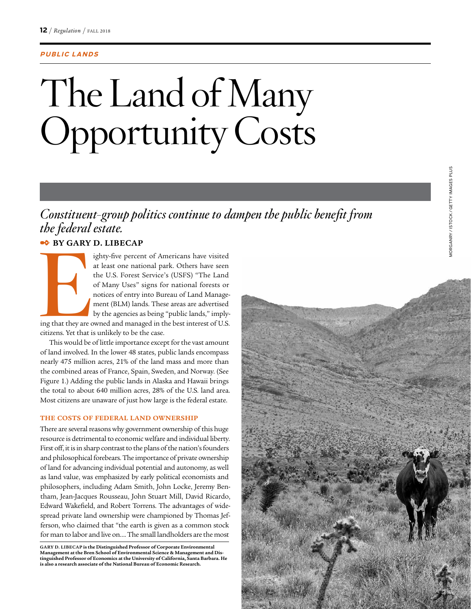### **PUBLIC LANDS**

# The Land of Many Opportunity Costs

*Constituent-group politics continue to dampen the public benefit from the federal estate.*

# ✒ **BY GARY D. LIBECAP**

**EXAMPLE** ighty-five percent of Americans have visited at least one national park. Others have seen the U.S. Forest Service's (USFS) "The Land of Many Uses" signs for national forests or notices of entry into Bureau of Land Management (BLM) lands. These areas are advertised by the agencies as being "public lands," implying that they are owned and managed in the best interest of U.S.

citizens. Yet that is unlikely to be the case.

This would be of little importance except for the vast amount of land involved. In the lower 48 states, public lands encompass nearly 475 million acres, 21% of the land mass and more than the combined areas of France, Spain, Sweden, and Norway. (See Figure 1.) Adding the public lands in Alaska and Hawaii brings the total to about 640 million acres, 28% of the U.S. land area. Most citizens are unaware of just how large is the federal estate.

### **THE COSTS OF FEDERAL LAND OWNERSHIP**

There are several reasons why government ownership of this huge resource is detrimental to economic welfare and individual liberty. First off, it is in sharp contrast to the plans of the nation's founders and philosophical forebears. The importance of private ownership of land for advancing individual potential and autonomy, as well as land value, was emphasized by early political economists and philosophers, including Adam Smith, John Locke, Jeremy Bentham, Jean-Jacques Rousseau, John Stuart Mill, David Ricardo, Edward Wakefield, and Robert Torrens. The advantages of widespread private land ownership were championed by Thomas Jefferson, who claimed that "the earth is given as a common stock for man to labor and live on…. The small landholders are the most

**GARY D. LIBECAP is the Distinguished Professor of Corporate Environmental Management at the Bren School of Environmental Science & Management and Distinguished Professor of Economics at the University of California, Santa Barbara. He is also a research associate of the National Bureau of Economic Research.**

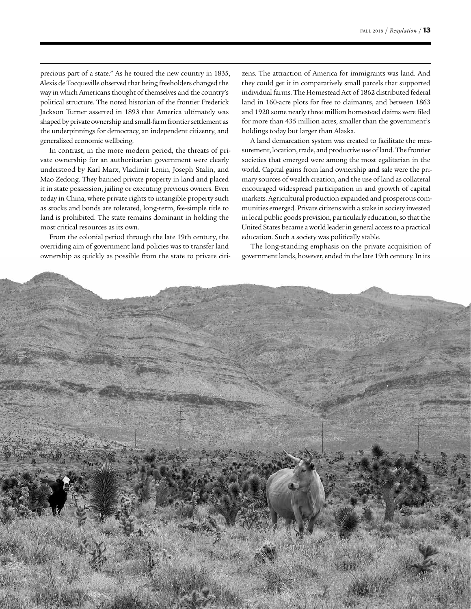precious part of a state." As he toured the new country in 1835, Alexis de Tocqueville observed that being freeholders changed the way in which Americans thought of themselves and the country's political structure. The noted historian of the frontier Frederick Jackson Turner asserted in 1893 that America ultimately was shaped by private ownership and small-farm frontier settlement as the underpinnings for democracy, an independent citizenry, and generalized economic wellbeing.

In contrast, in the more modern period, the threats of private ownership for an authoritarian government were clearly understood by Karl Marx, Vladimir Lenin, Joseph Stalin, and Mao Zedong. They banned private property in land and placed it in state possession, jailing or executing previous owners. Even today in China, where private rights to intangible property such as stocks and bonds are tolerated, long-term, fee-simple title to land is prohibited. The state remains dominant in holding the most critical resources as its own.

From the colonial period through the late 19th century, the overriding aim of government land policies was to transfer land ownership as quickly as possible from the state to private citizens. The attraction of America for immigrants was land. And they could get it in comparatively small parcels that supported individual farms. The Homestead Act of 1862 distributed federal land in 160-acre plots for free to claimants, and between 1863 and 1920 some nearly three million homestead claims were filed for more than 435 million acres, smaller than the government's holdings today but larger than Alaska.

A land demarcation system was created to facilitate the measurement, location, trade, and productive use of land. The frontier societies that emerged were among the most egalitarian in the world. Capital gains from land ownership and sale were the primary sources of wealth creation, and the use of land as collateral encouraged widespread participation in and growth of capital markets. Agricultural production expanded and prosperous communities emerged. Private citizens with a stake in society invested in local public goods provision, particularly education, so that the United States became a world leader in general access to a practical education. Such a society was politically stable.

The long-standing emphasis on the private acquisition of government lands, however, ended in the late 19th century. In its

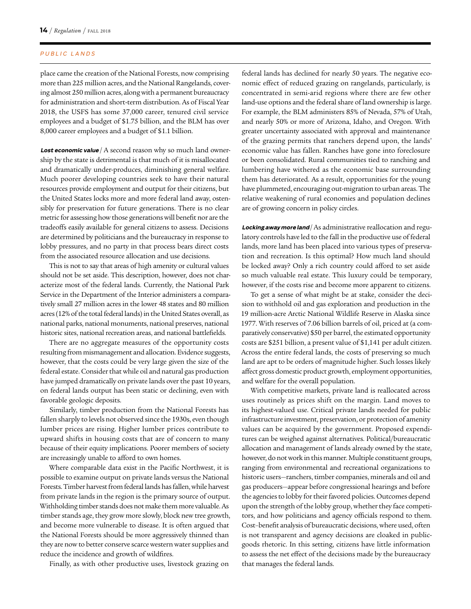#### PUBLIC LANDS

place came the creation of the National Forests, now comprising more than 225 million acres, and the National Rangelands, covering almost 250 million acres, along with a permanent bureaucracy for administration and short-term distribution. As of Fiscal Year 2018, the USFS has some 37,000 career, tenured civil service employees and a budget of \$1.75 billion, and the BLM has over 8,000 career employees and a budget of \$1.1 billion.

**Lost economic value** / A second reason why so much land ownership by the state is detrimental is that much of it is misallocated and dramatically under-produces, diminishing general welfare. Much poorer developing countries seek to have their natural resources provide employment and output for their citizens, but the United States locks more and more federal land away, ostensibly for preservation for future generations. There is no clear metric for assessing how those generations will benefit nor are the tradeoffs easily available for general citizens to assess. Decisions are determined by politicians and the bureaucracy in response to lobby pressures, and no party in that process bears direct costs from the associated resource allocation and use decisions.

This is not to say that areas of high amenity or cultural values should not be set aside. This description, however, does not characterize most of the federal lands. Currently, the National Park Service in the Department of the Interior administers a comparatively small 27 million acres in the lower 48 states and 80 million acres (12% of the total federal lands) in the United States overall, as national parks, national monuments, national preserves, national historic sites, national recreation areas, and national battlefields.

There are no aggregate measures of the opportunity costs resulting from mismanagement and allocation. Evidence suggests, however, that the costs could be very large given the size of the federal estate. Consider that while oil and natural gas production have jumped dramatically on private lands over the past 10 years, on federal lands output has been static or declining, even with favorable geologic deposits.

Similarly, timber production from the National Forests has fallen sharply to levels not observed since the 1930s, even though lumber prices are rising. Higher lumber prices contribute to upward shifts in housing costs that are of concern to many because of their equity implications. Poorer members of society are increasingly unable to afford to own homes.

Where comparable data exist in the Pacific Northwest, it is possible to examine output on private lands versus the National Forests. Timber harvest from federal lands has fallen, while harvest from private lands in the region is the primary source of output. Withholding timber stands does not make them more valuable. As timber stands age, they grow more slowly, block new tree growth, and become more vulnerable to disease. It is often argued that the National Forests should be more aggressively thinned than they are now to better conserve scarce western water supplies and reduce the incidence and growth of wildfires.

Finally, as with other productive uses, livestock grazing on

federal lands has declined for nearly 50 years. The negative economic effect of reduced grazing on rangelands, particularly, is concentrated in semi-arid regions where there are few other land-use options and the federal share of land ownership is large. For example, the BLM administers 85% of Nevada, 57% of Utah, and nearly 50% or more of Arizona, Idaho, and Oregon. With greater uncertainty associated with approval and maintenance of the grazing permits that ranchers depend upon, the lands' economic value has fallen. Ranches have gone into foreclosure or been consolidated. Rural communities tied to ranching and lumbering have withered as the economic base surrounding them has deteriorated. As a result, opportunities for the young have plummeted, encouraging out-migration to urban areas. The relative weakening of rural economies and population declines are of growing concern in policy circles.

Locking away more land/As administrative reallocation and regulatory controls have led to the fall in the productive use of federal lands, more land has been placed into various types of preservation and recreation. Is this optimal? How much land should be locked away? Only a rich country could afford to set aside so much valuable real estate. This luxury could be temporary, however, if the costs rise and become more apparent to citizens.

To get a sense of what might be at stake, consider the decision to withhold oil and gas exploration and production in the 19 million-acre Arctic National Wildlife Reserve in Alaska since 1977. With reserves of 7.06 billion barrels of oil, priced at (a comparatively conservative) \$50 per barrel, the estimated opportunity costs are \$251 billion, a present value of \$1,141 per adult citizen. Across the entire federal lands, the costs of preserving so much land are apt to be orders of magnitude higher. Such losses likely affect gross domestic product growth, employment opportunities, and welfare for the overall population.

With competitive markets, private land is reallocated across uses routinely as prices shift on the margin. Land moves to its highest-valued use. Critical private lands needed for public infrastructure investment, preservation, or protection of amenity values can be acquired by the government. Proposed expenditures can be weighed against alternatives. Political/bureaucratic allocation and management of lands already owned by the state, however, do not work in this manner. Multiple constituent groups, ranging from environmental and recreational organizations to historic users—ranchers, timber companies, minerals and oil and gas producers—appear before congressional hearings and before the agencies to lobby for their favored policies. Outcomes depend upon the strength of the lobby group, whether they face competitors, and how politicians and agency officials respond to them. Cost–benefit analysis of bureaucratic decisions, where used, often is not transparent and agency decisions are cloaked in publicgoods rhetoric. In this setting, citizens have little information to assess the net effect of the decisions made by the bureaucracy that manages the federal lands.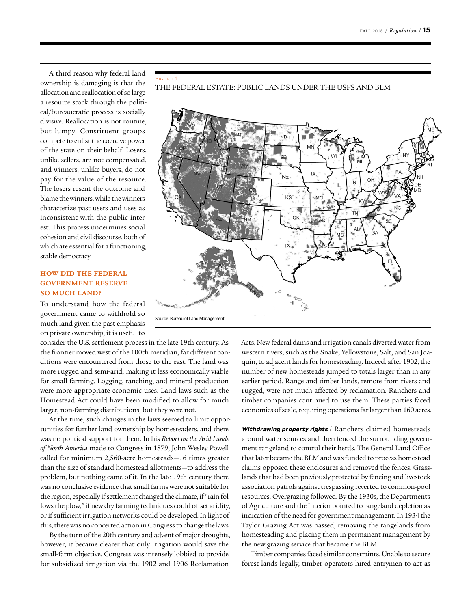A third reason why federal land ownership is damaging is that the allocation and reallocation of so large a resource stock through the political/bureaucratic process is socially divisive. Reallocation is not routine, but lumpy. Constituent groups compete to enlist the coercive power of the state on their behalf. Losers, unlike sellers, are not compensated, and winners, unlike buyers, do not pay for the value of the resource. The losers resent the outcome and blame the winners, while the winners characterize past users and uses as inconsistent with the public interest. This process undermines social cohesion and civil discourse, both of which are essential for a functioning, stable democracy.

Figure 1

## **HOW DID THE FEDERAL GOVERNMENT RESERVE SO MUCH LAND?**

To understand how the federal government came to withhold so much land given the past emphasis on private ownership, it is useful to

consider the U.S. settlement process in the late 19th century. As the frontier moved west of the 100th meridian, far different conditions were encountered from those to the east. The land was more rugged and semi-arid, making it less economically viable for small farming. Logging, ranching, and mineral production were more appropriate economic uses. Land laws such as the Homestead Act could have been modified to allow for much larger, non-farming distributions, but they were not.

At the time, such changes in the laws seemed to limit opportunities for further land ownership by homesteaders, and there was no political support for them. In his *Report on the Arid Lands of North America* made to Congress in 1879, John Wesley Powell called for minimum 2,560-acre homesteads—16 times greater than the size of standard homestead allotments—to address the problem, but nothing came of it. In the late 19th century there was no conclusive evidence that small farms were not suitable for the region, especially if settlement changed the climate, if "rain follows the plow," if new dry farming techniques could offset aridity, or if sufficient irrigation networks could be developed. In light of this, there was no concerted action in Congress to change the laws.

By the turn of the 20th century and advent of major droughts, however, it became clearer that only irrigation would save the small-farm objective. Congress was intensely lobbied to provide for subsidized irrigation via the 1902 and 1906 Reclamation

# THE FEDERAL ESTATE: PUBLIC LANDS UNDER THE USFS AND BLM



Acts. New federal dams and irrigation canals diverted water from western rivers, such as the Snake, Yellowstone, Salt, and San Joaquin, to adjacent lands for homesteading. Indeed, after 1902, the number of new homesteads jumped to totals larger than in any earlier period. Range and timber lands, remote from rivers and rugged, were not much affected by reclamation. Ranchers and timber companies continued to use them. These parties faced economies of scale, requiring operations far larger than 160 acres.

**Withdrawing property rights** / Ranchers claimed homesteads around water sources and then fenced the surrounding government rangeland to control their herds. The General Land Office that later became the BLM and was funded to process homestead claims opposed these enclosures and removed the fences. Grasslands that had been previously protected by fencing and livestock association patrols against trespassing reverted to common-pool resources. Overgrazing followed. By the 1930s, the Departments of Agriculture and the Interior pointed to rangeland depletion as indication of the need for government management. In 1934 the Taylor Grazing Act was passed, removing the rangelands from homesteading and placing them in permanent management by the new grazing service that became the BLM.

Timber companies faced similar constraints. Unable to secure forest lands legally, timber operators hired entrymen to act as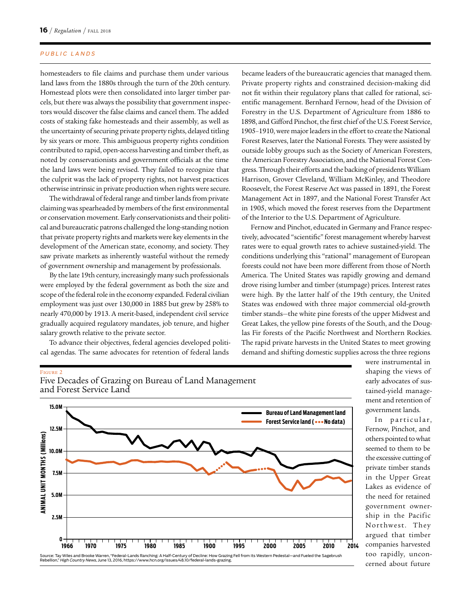#### PUBLIC LANDS

homesteaders to file claims and purchase them under various land laws from the 1880s through the turn of the 20th century. Homestead plots were then consolidated into larger timber parcels, but there was always the possibility that government inspectors would discover the false claims and cancel them. The added costs of staking fake homesteads and their assembly, as well as the uncertainty of securing private property rights, delayed titling by six years or more. This ambiguous property rights condition contributed to rapid, open-access harvesting and timber theft, as noted by conservationists and government officials at the time the land laws were being revised. They failed to recognize that the culprit was the lack of property rights, not harvest practices otherwise intrinsic in private production when rights were secure.

The withdrawal of federal range and timber lands from private claiming was spearheaded by members of the first environmental or conservation movement. Early conservationists and their political and bureaucratic patrons challenged the long-standing notion that private property rights and markets were key elements in the development of the American state, economy, and society. They saw private markets as inherently wasteful without the remedy of government ownership and management by professionals.

By the late 19th century, increasingly many such professionals were employed by the federal government as both the size and scope of the federal role in the economy expanded. Federal civilian employment was just over 130,000 in 1885 but grew by 258% to nearly 470,000 by 1913. A merit-based, independent civil service gradually acquired regulatory mandates, job tenure, and higher salary growth relative to the private sector.

To advance their objectives, federal agencies developed political agendas. The same advocates for retention of federal lands

became leaders of the bureaucratic agencies that managed them. Private property rights and constrained decision-making did not fit within their regulatory plans that called for rational, scientific management. Bernhard Fernow, head of the Division of Forestry in the U.S. Department of Agriculture from 1886 to 1898, and Gifford Pinchot, the first chief of the U.S. Forest Service, 1905–1910, were major leaders in the effort to create the National Forest Reserves, later the National Forests. They were assisted by outside lobby groups such as the Society of American Foresters, the American Forestry Association, and the National Forest Congress. Through their efforts and the backing of presidents William Harrison, Grover Cleveland, William McKinley, and Theodore Roosevelt, the Forest Reserve Act was passed in 1891, the Forest Management Act in 1897, and the National Forest Transfer Act in 1905, which moved the forest reserves from the Department of the Interior to the U.S. Department of Agriculture.

Fernow and Pinchot, educated in Germany and France respectively, advocated "scientific" forest management whereby harvest rates were to equal growth rates to achieve sustained-yield. The conditions underlying this "rational" management of European forests could not have been more different from those of North America. The United States was rapidly growing and demand drove rising lumber and timber (stumpage) prices. Interest rates were high. By the latter half of the 19th century, the United States was endowed with three major commercial old-growth timber stands—the white pine forests of the upper Midwest and Great Lakes, the yellow pine forests of the South, and the Douglas Fir forests of the Pacific Northwest and Northern Rockies. The rapid private harvests in the United States to meet growing demand and shifting domestic supplies across the three regions

#### Figure 2





were instrumental in shaping the views of early advocates of sustained-yield management and retention of government lands.

In particular, Fernow, Pinchot, and others pointed to what seemed to them to be the excessive cutting of private timber stands in the Upper Great Lakes as evidence of the need for retained government ownership in the Pacific Northwest. They argued that timber companies harvested too rapidly, unconcerned about future